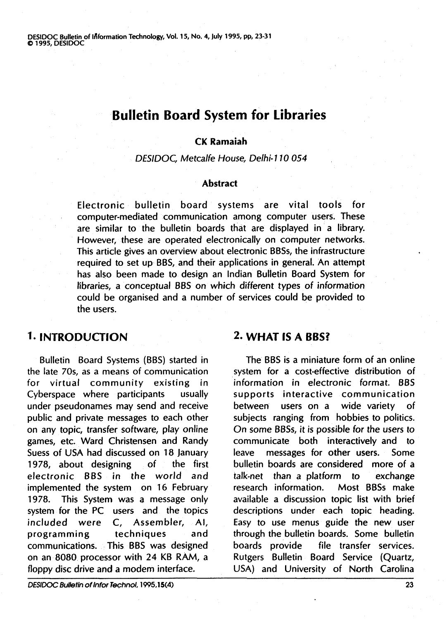DESIDOC Bulletin of IAformation Technology, Vol. 15, No. 4, July 1995, **pp,** 23-31 **0** 1995, DESIDOC

## **Bulletin Board System for Libraries**

#### **CK Ramaiah**

#### DESIDOC, Metcalfe House, Delhi- **1** 10 054

#### **Abstract**

Electronic bulletin board systems are vital tools for computer-mediated communication among computer users. These are similar to the bulletin boards that are displayed in a library. However, these are operated electronically on computer networks. This article gives an overview about electronic BBSs, the infrastructure required to set up BBS, and their applications in general. An attempt has also been made to design an Indian Bulletin Board System for tibraries, a conceptual BBS on which different types of information could be organised and a number of services could be provided to the users.

Bulletin Board Systems (BBS) started in the late 70s, as a means of communication for virtual community existing in Cyberspace where participants usually under pseudonames may send and receive public and private messages to each other on any topic, transfer software, play online games, etc. Ward Christensen and Randy Suess of USA had discussed on 18 January 1978, about designing of the first electronic BBS in the world and implemented the system on 16 February 1978. This System was a message only system for the PC users and the topics included were C, Assembler, Al, programming techniques and communications. This BBS was designed on an 8080 processor with 24 KB RAM, a floppy disc drive and a modem interface.

### **1. INTRODUCTION 2. WHAT IS A BBS?**

The BBS is a miniature form of an online system for a cost-effective distribution of information in electronic format. BBS supports interactive communication between users on a wide variety of subjects ranging from hobbies to politics. On some BBSs, it is possible for the users to communicate both interactively and to leave messages for other users. Some bulletin boards are considered more of a talk-net than a platform to exchange research information. Most BBSs make available a discussion topic list with brief descriptions under each topic heading. Easy to use menus guide the new user through the bulletin boards. Some bulletin boards provide file transfer services. Rutgers Bulletin Board Service (Quartz, USA) and University of North Carolina

**DESIDOC Bulletin of Jnfor Technol, 1995,15(4)**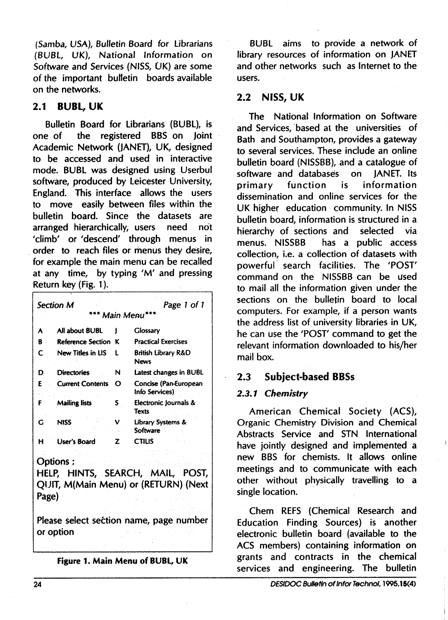(Samba, USA), Bulletin Board for Librarians (BUBL, UK), National lnformation on Software and Services (NISS, UK) are some of the important bulletin boards available on the networks.

#### **2.1 BUBL, UK**

Bulletin Board for Librarians (BUBL), is one of the registered BBS on Joint Academic Network (JANET), UK, designed to be accessed and used in interactive mode. BUBL was designed using Userbul software, produced by Leicester University, England. This interface allows the users to move easily between files within the bulletin board. Since the datasets are arranged hierarchically, users need not 'climb' or 'descend' through menus in order to reach files or menus they desire, for example the main menu can be recalled at any time, by typing **'M'** and pressing Return key (Fig. 1 ).

|                                                                                               | Section M                  | Page 1 of 1 |                                         |  |
|-----------------------------------------------------------------------------------------------|----------------------------|-------------|-----------------------------------------|--|
| <b>Main Menu</b>                                                                              |                            |             |                                         |  |
| A                                                                                             | All about BUBL             |             | <b>Glossary</b>                         |  |
| R                                                                                             | <b>Reference Section K</b> |             | <b>Practical Exercises</b>              |  |
| C                                                                                             | New Titles in LIS          | 1           | British Library R&D<br>News             |  |
| D                                                                                             | <b>Directories</b>         | N           | Latest changes in BUBL                  |  |
| E                                                                                             | <b>Current Contents</b>    | Ω           | Concise (Pan-European<br>Info Services) |  |
| F                                                                                             | <b>Mailing lists</b>       | S.          | Electronic lournals &<br><b>Texts</b>   |  |
| G                                                                                             | <b>NISS</b>                | v           | Library Systems &<br>Software           |  |
| н                                                                                             | User's Board               | 7.          | <b>CTILIS</b>                           |  |
| Options:<br>HELP, HINTS, SEARCH, MAIL, POST,<br>QUIT, M(Main Menu) or (RETURN) (Next<br>Page) |                            |             |                                         |  |
| Please select section name, page number<br>or option                                          |                            |             |                                         |  |

**Figure 1. Main Menu of** BUBL, UK

BUBL aims to provide a network of library resources of information on JANET and other networks such as Internet to the users.

#### **2.2 NISS, UK**

The National lnformation on Software and Services, based at the universities of Bath and Southampton, provides a gateway to several services. These include an online bulletin board (NISSBB), and a catalogue of software and databases on JANET. Its<br>primary function is information primary function is information dissemination and online services for the UK higher education community. In NISS bulletin board, information is structured in a hierarchy of sections and selected via menus. NISSBB has a public access collection, i.e. a collection of datasets with powerful search facilities. The 'POST' command on the NISSBB can be used to mail all the information given under the sections on the bulletin board to local computers. For example, if a person wants the address list of university libraries in UK, he can use the 'POST' command to get the relevant information downloaded to his/her mail box.

#### **2.3 Subject-based BBSs**

#### **2.3.1 Chemistry**

American Chemical Society (ACS), Organic Chemistry Division and Chemical Abstracts Service and STN International have jointly designed and implemented a new BBS for chemists. It allows online meetings and to communicate with each other without physically travelling to a single location.

Chem REFS (Chemical Research and Education Finding Sources) is another electronic bulletin board (available to the ACS members) containing information on grants and contracts in the chemical services and engineering. The bulletin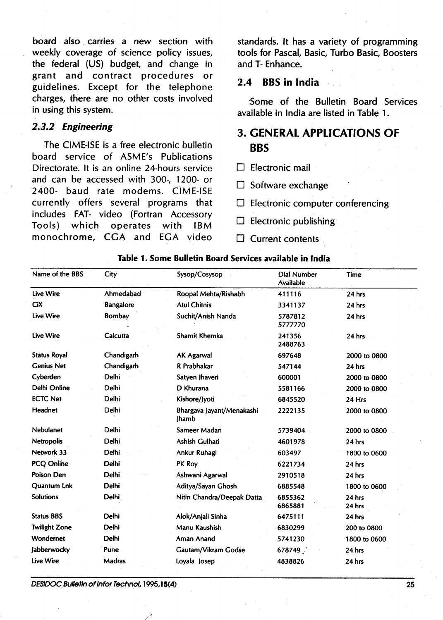board also carries a new section with standards. It has a variety of programming . weekly coverage of science policy issues, tools for Pascal, Basic, Turbo Basic, Boosters the federal (US) budget, and change in and T- Enhance. grant and contract procedures or guidelines. Except for the telephone **2.4 BBS in lndia**  charges, there are no other costs involved<br>
Some of the Bulletin Board Services<br>
in using this system.

The CIME-ISE is a free electronic bulletin board service of ASME's Publications Directorate. It is an online 24-hours service  $\Box$  Electronic mail and can be accessed with 300-, 1200- or and can be accessed with 500-, 1200- 01<br>2400- baud rate modems. CIME-ISE  $\Box$  Software exchange currently offers several programs that  $\Box$  Electronic computer conferencing includes FAT- video (Fortran Accessory Tools) which operates with IBM Electronic publishing monochrome, CGA and EGA video Current contents

available in India are listed in Table 1.

# **2.3.2 Engineering 3. GENERAL APPLICATIONS OF BBS**

- 
- 
- 
- 
- 

| 2000 to 0800                |
|-----------------------------|
|                             |
| 2000 to 0800                |
| 2000 to 0800                |
|                             |
| 2000 to 0800                |
| 2000 to 0800                |
|                             |
| 1800 to 0600                |
|                             |
|                             |
| 1800 to 0600                |
|                             |
|                             |
|                             |
|                             |
|                             |
|                             |
| 200 to 0800<br>1800 to 0600 |

Table 1. Some Bulletin Board Services available in lndia

**DESIDOC Bulletin otlnfor Technol, 1 W5,15(4) 25**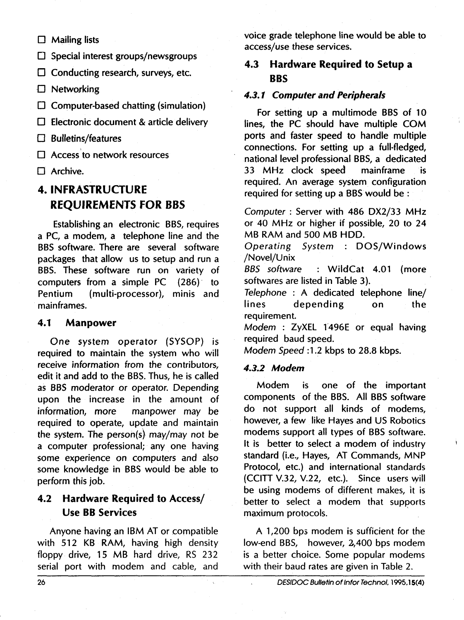$\square$  Mailing lists

 $\square$  Special interest groups/newsgroups

□ Conducting research, surveys, etc.

□ Networking

 $\square$  Computer-based chatting (simulation)

Electronic document & article delivery

 $\Box$  Bulletins/features

□ Access<sup>to</sup> network resources

□ Archive.

## **4. INFRASTRUCTURE REQUIREMENTS FOR BBS**

Establishing an electronic BBS, requires a PC, a modem, a telephone line and the BBS software. There are several software packages that allow us to setup and run a BBS. These software run on variety of computers from a simple PC  $(286)$  to Pentium (multi-processor), minis and mainframes.

#### **4.1 Manpower**

One system operator (SYSOP) is required to maintain the system who will receive information from the contributors, edit it and add to the BBS. Thus, he is called as BBS moderator or operator. Depending upon the increase in the amount of information, more manpower may be required to operate, update and maintain the system. The person(s) may/may not be a computer professional; any one having some experience on computers and also some knowledge in BBS would be able to perform this job.

## **4.2 Hardware Required to Access/ Use BB Services**

Anyone having an IBM AT or compatible with 512 KB RAM, having high density floppy drive, 15 MB hard drive, RS 232 serial port with modem and cable, and voice grade telephone line would be able to access/use these services.

## **4.3 Hardware Required to Setup a BBS**

### **4.3.1 Computer and Peripherals**

For setting up a multimode BBS of 10 lines, the PC should have multiple COM ports and faster speed to handle multiple connections. For setting up a full-fledged, national level professional BBS, a dedicated 33 MHz clock speed mainframe is required. An average system configuration required for setting up a BBS would be :

Computer : Server with 486 DX2/33 MHz or 40 MHz or higher if possible, 20 to 24 MB RAM and 500 MB HDD.

Operating System : DOS/Windows /Novel/Unix

: WildCat 4.01 (more softwares are listed in Table 3).

Telephone : A dedicated telephone line/<br>lines depending on the depending on the requirement.

Modem : ZyXEL 1496E or equal having required baud speed.

Modem Speed :1.2 kbps to 28.8 kbps.

#### **4.3.2 Modem**

Modem is one of the important components of the BBS. All BBS software do not support all kinds of modems, however, a few like Hayes and US Robotics modems support all types of BBS software. It is better to select a modem of industry standard (i.e., Hayes, AT Commands, MNP Protocol, etc.) and international standards (CCITT V.32, V.22, etc.). Since users yill be using modems of different makes, it is better to select a modem that supports maximum protocols.

A 1,200 bps modem is sufficient for the low-end BBS, however, 2,400 bps modem is a better choice. Some popular modems with their baud rates are given in Table 2.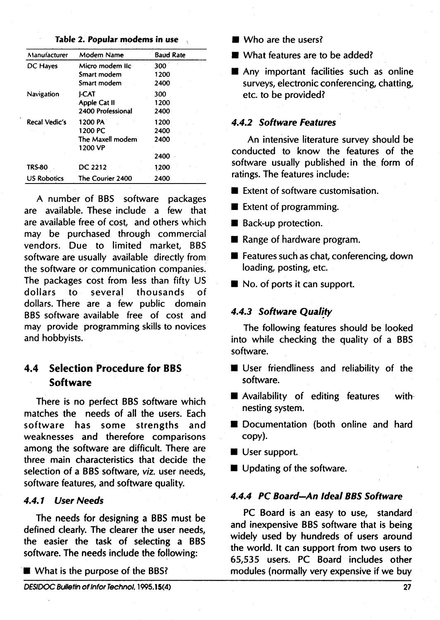| Manufacturer         | Modem Name                  | <b>Baud Rate</b> |
|----------------------|-----------------------------|------------------|
| DC Hayes             | Micro modem llc:            | 300              |
|                      | Smart modem                 | 1200             |
|                      | Smart modem                 | 2400             |
| Navigation           | I-CAT                       | 300              |
|                      | Apple Cat II                | 1200             |
|                      | 2400 Professional           | 2400             |
| <b>Recal Vedic's</b> | 1200 PA                     | 1200             |
|                      | 1200 PC                     | 2400             |
|                      | The Maxell modem<br>1200 VP | 2400             |
|                      |                             | 2400             |
| TRS-80               | DC 2212                     | 1200             |
| <b>US Robotics</b>   | The Courier 2400            | 2400             |

#### **Table 2. Popular modems in use**

A number of BBS software packages are available. These include a few that are available free of cost, and others which may be purchased through commercial vendors. Due to limited market, BBS software are usually available directly from the software or communication companies. The packages cost from less than fifty US dollars to several thousands of dollars. There are a few public domain BBS software available free of cost and may provide programming skills to novices and hobbyists.

## **4.4 Selection Procedure for BBS Software**

There is no perfect BBS software which matches the needs of all the users. Each software has some strengths and weaknesses and therefore comparisons among the software are difficult. There are three main characteristics that decide the selection of a BBS software, viz. user needs, software features, and software quality.

#### **4.4.1 User Needs**

The needs for designing a BBS must be defined clearly. The clearer the user needs, the easier the task of selecting a BBS software. The needs include the following:

 $\blacksquare$  What is the purpose of the BBS?

- **H** Who are the users?
- **H** What features are to be added?
- $\blacksquare$  Any important facilities such as online surveys, electronic conferencing, chatting, etc. to be provided?

#### **4.4.2 Software Features**

An intensive literature survey should be conducted to know the features of the software usually published in the form of ratings. The features include:

- **H** Extent of software customisation.
- **E** Extent of programming.
- **H** Back-up protection.
- **H** Range of hardware program.
- **Features such as chat, conferencing, down** loading, posting, etc.
- No. of ports it can support.

#### **4.4.3 Software Qualify**

The following features should be looked into while checking the quality of a BBS software.

- **H** User friendliness and reliability of the software.
- **M** Availability of editing features withnesting system.
- **W** Documentation (both online and hard copy).
- **H** User support.
- **H** Updating of the software.

## **4.4.4 PC Board-An Ideal BBS Software**

PC Board is an easy to use, standard and inexpensive BBS software that is being widely used by hundreds of users around the world. It can support from two users to 65,535 users. PC Board includes other modules (normally very expensive if we buy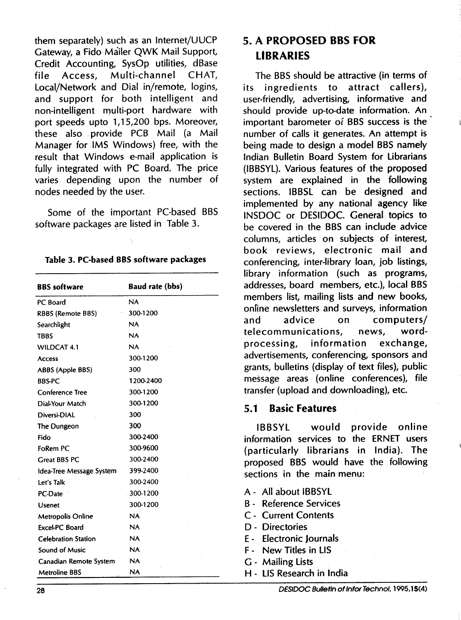them separately) such as an Internet/UUCP Gateway, a Fido Mailer QWK Mail Support, Credit Accounting, SysOp utilities, dBase file Access, Multi-channel CHAT, Local/Network and Dial in/remote, logins, and support for both intelligent and non-intelligent multi-port hardware with port speeds upto 1,15,200 bps. Moreover, these also provide PCB Mail (a Mail Manager for IMS Windows) free, with the result that Windows e-mail application is fully integrated with PC Board. The price varies depending upon the number of nodes needed by the user.

Some of the important PC-based BBS software packages are listed in Table 3.

#### Table 3. PC-based BBS software packages

| <b>BBS</b> software        | <b>Baud rate (bbs)</b> |
|----------------------------|------------------------|
| PC Board                   | <b>NA</b>              |
| <b>RBBS (Remote BBS)</b>   | 300-1200               |
| Searchlight                | <b>NA</b>              |
| <b>TBBS</b>                | <b>NA</b>              |
| <b>WILDCAT 4.1</b>         | <b>NA</b>              |
| Access                     | 300-1200               |
| ABBS (Apple BBS)           | 300                    |
| <b>BBS-PC</b>              | 1200-2400              |
| <b>Conference Tree</b>     | 300-1200               |
| Dial-Your Match            | 300-1200               |
| Diversi-DIAL               | 300                    |
| The Dungeon                | 300                    |
| Fido                       | 300-2400               |
| FoRem PC                   | 300-9600               |
| <b>Great BBS PC</b>        | 300-2400               |
| Idea-Tree Message System   | 399-2400               |
| Let's Talk                 | 300-2400               |
| PC-Date                    | 300-1200               |
| <b>Usenet</b>              | 300-1200               |
| <b>Metropolis Online</b>   | <b>NA</b>              |
| Excel-PC Board             | <b>NA</b>              |
| <b>Celebration Station</b> | NA                     |
| <b>Sound of Music</b>      | NA.                    |
| Canadian Remote System     | NA.                    |
| Metroline BBS              | <b>NA</b>              |

## **5. A PROPOSED BBS FOR LIBRARIES**

The BBS should be attractive (in terms of its ingredients to attract callers), user-friendly, advertising, informative and should provide up-to-date information. An important barometer of BBS success is the number of calls it generates. An attempt is being made to design a model BBS namely Indian Bulletin Board System for Librarians (IBBSYL). Various features of the proposed system are explained in the following sections. IBBSL can be designed and implemented by any national agency like INSDOC or DESIDOC. General topics to be covered in the BBS can include advice columns, articles on subjects of interest, book reviews, electronic mail and conferencing, inter-library loan, job listings, library information (such as programs, addresses, board members, etc.), local BBS members list, mailing lists and new books, online newsletters and surveys, information and advice on computers/ telecommunications, news, wordprocessing, information exchange, advertisements, conferencing, sponsors and grants, bulletins (display of text files), public message areas (online conferences), file transfer (upload and downloading), etc.

#### **5.1 Basic Features**

IBBSYL would provide online information services to the ERNET users (particularly librarians in India). The proposed BBS would have the following sections in the main menu:

- A All about IBBSYL
- B Reference Services
- C Current Contents
- D Directories
- E Electronic Journals
- F New Titles in LIS
- G Mailing Lists
- H LIS Research in India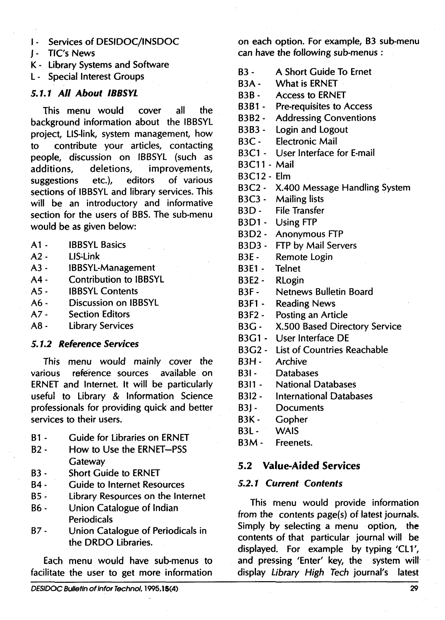I - Services of DESIDOC/lNSDOC

- **<sup>J</sup>** TIC'S News
- K Library Systems and Software
- L Special Interest Groups

### **5.1.1 All About IBBSYL**

This menu would cover all the background information about the IBBSYL project, LIS-link, system management, how to contribute your articles, contacting people, discussion on IBBSYL (such as additions, deletions, improvements, suggestions etc.), editors of various sections of IBBSYL and library services. This will be an introductory and informative section for the users of BBS. The sub-menu would be as given below:

- $A1 -$ IBBSYL Basics
- $A2 -$ LIS-Link
- $A3 -$ IBBSYL-Management
- Contribution to IBBSYL  $A4 -$
- IBBSYL Contents  $A5 -$
- $A6 -$ Discussion on IBBSYL
- $A7 -$ Section Editors
- $A8 -$ Library Services

#### **5.1.2 Reference Services**

This menu would mainly cover the various reference sources available on ERNET and Internet. It will be particularly useful to Library & Information Science professionals for providing quick and better services to their users.

- B1 Guide for Libraries on ERNET
- B2 How to Use the ERNET-PSS **Gateway**
- 83 Short Guide to ERNET
- B4 Guide to Internet Resources
- B5 Library Resources on the Internet
- B6 Union Catalogue of Indian Periodicals
- B7 Union Catalogue of Periodicals in the DRDO Libraries.

Each menu would have sub-menus to facilitate the user to get more information on each option. For example, B3 sub-menu can have the following sub-menus :

- 83 A Short Guide To Ernet
- B3A What is ERNET
- B3B Access to ERNET
- B3B1 Pre-requisites to Access
- B3B2 Addressing Conventions
- B3B3 Login and Logout
- B3C Electronic Mail
- B3C1 User lnterface for E-mail
- B3C11 Mail
- B3C12 Elm
- B3C2 X.400 Message Handling System
- B3C3 Mailing lists
- B3D File Transfer
- B3D1 Using FTP
- B3D2 Anonymous FTP
- B3D3 FTP by Mail Servers
- B3E Remote Login
- B3E1 Telnet
- B3E2- RLogin
- B3F Netnews Bulletin Board
- B3F1 Reading News
- B3F2 Posting an Article
- B3G X.500 Based Directory Service
- B3G1 User lnterface DE
- B3G2 List of Countries Reachable
- B3H Archive
- B31- Databases
- 8311 National Databases
- 8312 International Databases
- B<sub>3</sub>I Documents
- B3K- Gopher
- B3L WAlS
- B3M Freenets.

#### **5.2 Value-Aided Services**

#### **5.2.1 Current Contents**

This menu would provide information from the contents page(s) of latest journals. Simply by selecting a menu option, the contents of that particular journal will be displayed. For example by typing 'CLl', and pressing 'Enter' key, the system will display Library High Tech journal's latest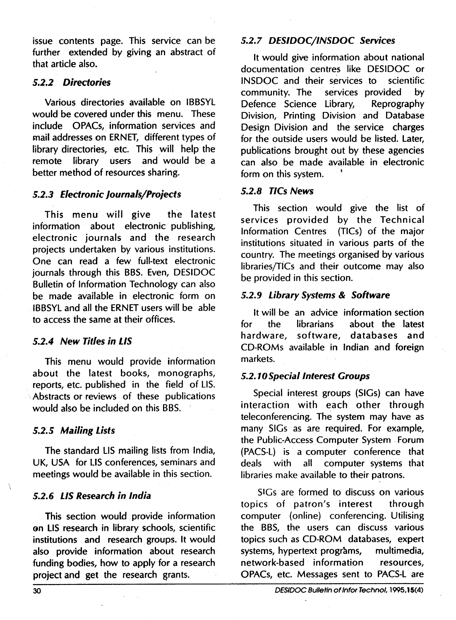issue contents page. This service can be further extended by giving an abstract of that article also.

#### **5.2.2 Diredories**

Various directories available on IBBSYL would be covered under this menu. These include OPACs, information services and mail addresses on ERNET, different types of library directories, etc. This will help the remote library users and would be a better method of resources sharing.

#### **5.2.3 Electronic Journals/Projects**

This menu will give the latest information about electronic publishing, electronic journals and the research projects undertaken by various institutions. One can read a few full-text electronic journals through this BBS. Even, DESIDOC Bulletin of lnformation Technology can also be made available in electronic form on IBBSYL and all the ERNET users will be able to access the same at their offices.

#### **5.2.4 New Titles in LIS**

This menu would provide information about the latest books, monographs, reports, etc. published in the field of LIS. Abstracts or reviews of these publications would also be included on this BBS.

#### **5.2.5 Mailing Lists**

The standard LIS mailing lists from India, UK, USA for LIS conferences, seminars and meetings would be available in this section.

#### **5.2.6 LIS Research in India**

This section would provide information on LIS research in library schools, scientific institutions and research groups. It would also provide information about research funding bodies, how to apply for a research project and get the research grants.

#### **5.2.7 DESIDOC/INSDOC Services**

It would give information about national documentation centres like DESIDOC or INSDOC and their services to scientific community. The services provided by Defence Science Library, Reprography Division, Printing Division and Database Design Division and the service charges for the outside users would be listed. Later, publications brought out by these agencies can also be made available in electronic form on this system.

#### **5.2.8 TICs News**

This section would give the list of services provided by the Technical lnformation Centres (TICs) of the major institutions situated in various parts of the country. The meetings organised by various libraries/TICs and their outcome may also be provided in this section.

#### **5.2.9 Library Systems** & **Software**

It will be an advice information section for the librarians about the latest hardware, software, databases and CD-ROMs available in Indian and foreign markets.

#### **5.2.10 Special Interest Groups**

Special interest groups (SIGs) can have interaction with each other through teleconferencing. The system may have as many SlGs as are required. For example, the Public-Access Computer System Forum (PACS-L) is a computer conference that deals with all computer systems that libraries make available to their patrons.

SlGs are formed to discuss on various topics of patron's interest through computer (online) conferencing. Utilising the BBS, the users can discuss various topics such as CD-ROM databases, expert systems, hypertext programs, multimedia, network-based information resources, OPACs, etc. Messages sent to PACS-L are